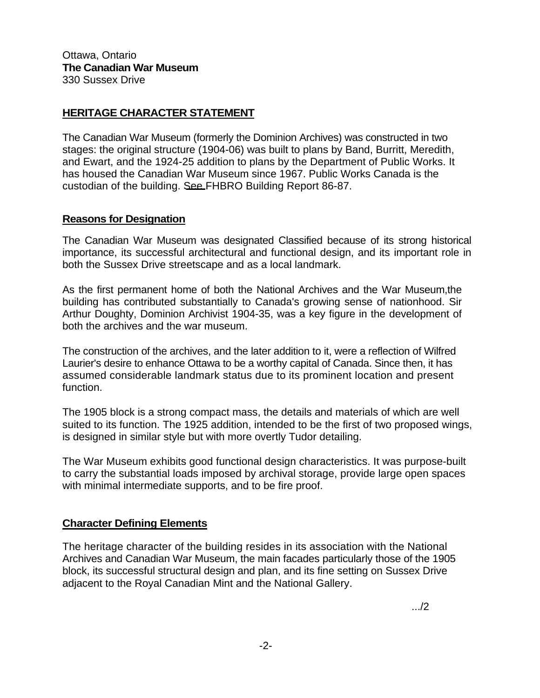Ottawa, Ontario **The Canadian War Museum**  330 Sussex Drive

## **HERITAGE CHARACTER STATEMENT**

The Canadian War Museum (formerly the Dominion Archives) was constructed in two stages: the original structure (1904-06) was built to plans by Band, Burritt, Meredith, and Ewart, and the 1924-25 addition to plans by the Department of Public Works. It has housed the Canadian War Museum since 1967. Public Works Canada is the custodian of the building. See FHBRO Building Report 86-87.

## **Reasons for Designation**

The Canadian War Museum was designated Classified because of its strong historical importance, its successful architectural and functional design, and its important role in both the Sussex Drive streetscape and as a local landmark.

As the first permanent home of both the National Archives and the War Museum,the building has contributed substantially to Canada's growing sense of nationhood. Sir Arthur Doughty, Dominion Archivist 1904-35, was a key figure in the development of both the archives and the war museum.

The construction of the archives, and the later addition to it, were a reflection of Wilfred Laurier's desire to enhance Ottawa to be a worthy capital of Canada. Since then, it has assumed considerable landmark status due to its prominent location and present function.

The 1905 block is a strong compact mass, the details and materials of which are well suited to its function. The 1925 addition, intended to be the first of two proposed wings, is designed in similar style but with more overtly Tudor detailing.

The War Museum exhibits good functional design characteristics. It was purpose-built to carry the substantial loads imposed by archival storage, provide large open spaces with minimal intermediate supports, and to be fire proof.

## **Character Defining Elements**

The heritage character of the building resides in its association with the National Archives and Canadian War Museum, the main facades particularly those of the 1905 block, its successful structural design and plan, and its fine setting on Sussex Drive adjacent to the Royal Canadian Mint and the National Gallery.

.../2